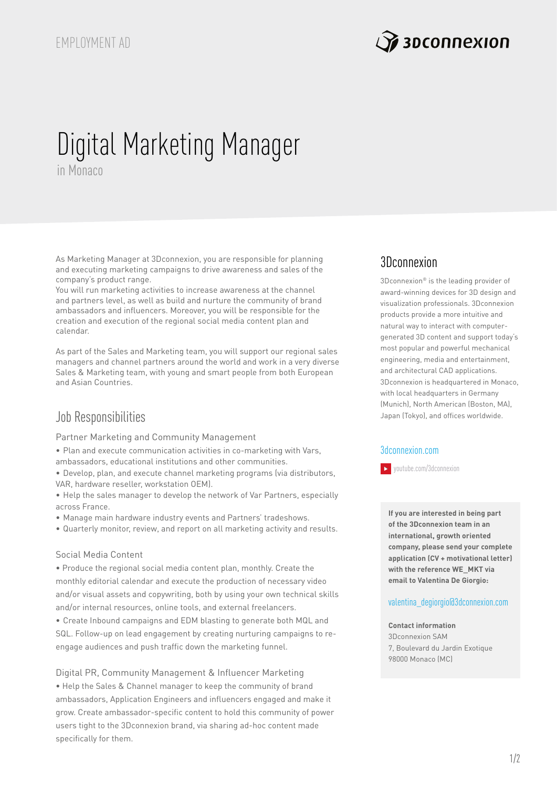

# Digital Marketing Manager in Monaco

As Marketing Manager at 3Dconnexion, you are responsible for planning and executing marketing campaigns to drive awareness and sales of the company's product range.

You will run marketing activities to increase awareness at the channel and partners level, as well as build and nurture the community of brand ambassadors and influencers. Moreover, you will be responsible for the creation and execution of the regional social media content plan and calendar.

As part of the Sales and Marketing team, you will support our regional sales managers and channel partners around the world and work in a very diverse Sales & Marketing team, with young and smart people from both European and Asian Countries.

# Job Responsibilities

Partner Marketing and Community Management

• Plan and execute communication activities in co-marketing with Vars, ambassadors, educational institutions and other communities.

• Develop, plan, and execute channel marketing programs (via distributors, VAR, hardware reseller, workstation OEM).

• Help the sales manager to develop the network of Var Partners, especially across France.

• Manage main hardware industry events and Partners' tradeshows.

• Quarterly monitor, review, and report on all marketing activity and results.

### Social Media Content

• Produce the regional social media content plan, monthly. Create the monthly editorial calendar and execute the production of necessary video and/or visual assets and copywriting, both by using your own technical skills and/or internal resources, online tools, and external freelancers.

• Create Inbound campaigns and EDM blasting to generate both MQL and SQL. Follow-up on lead engagement by creating nurturing campaigns to reengage audiences and push traffic down the marketing funnel.

Digital PR, Community Management & Influencer Marketing • Help the Sales & Channel manager to keep the community of brand ambassadors, Application Engineers and influencers engaged and make it grow. Create ambassador-specific content to hold this community of power users tight to the 3Dconnexion brand, via sharing ad-hoc content made specifically for them.

## 3Dconnexion

3Dconnexion® is the leading provider of award-winning devices for 3D design and visualization professionals. 3Dconnexion products provide a more intuitive and natural way to interact with computergenerated 3D content and support today's most popular and powerful mechanical engineering, media and entertainment, and architectural CAD applications. 3Dconnexion is headquartered in Monaco, with local headquarters in Germany (Munich), North American (Boston, MA), Japan (Tokyo), and offices worldwide.

### [3dconnexion.](https://www.3dconnexion.com)com

[youtube.com/3dconnexion](http://www.youtube.com/3dconnexion)

**If you are interested in being part of the 3Dconnexion team in an international, growth oriented company, please send your complete application (CV + motivational letter) with the reference WE\_MKT via email to Valentina De Giorgio:**

#### [v](mailto:cecilia_deponti%403dconnexion.com%20?subject=DMAR_MNG_CORP)alentina\_degiorgio@3dconnexion.co[m](mailto:cecilia_deponti%403dconnexion.com%20?subject=DMAR_MNG_CORP)

## **Contact information**

3Dconnexion SAM 7, Boulevard du Jardin Exotique 98000 Monaco (MC)